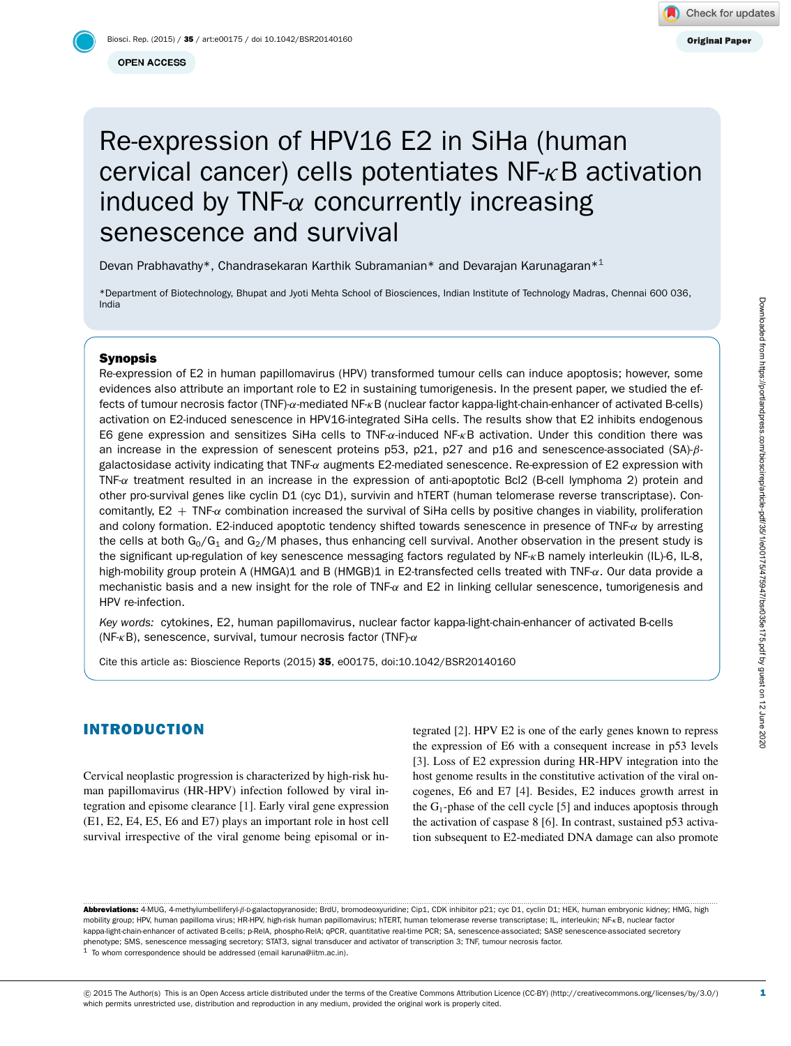# Re-expression of HPV16 E2 in SiHa (human cervical cancer) cells potentiates  $NF - \kappa B$  activation induced by TNF- $\alpha$  concurrently increasing senescence and survival

Devan Prabhavathy\*, Chandrasekaran Karthik Subramanian\* and Devarajan Karunagaran\*<sup>[1](#page-0-0)</sup>

\*Department of Biotechnology, Bhupat and Jyoti Mehta School of Biosciences, Indian Institute of Technology Madras, Chennai 600 036, India

## Synopsis

Re-expression of E2 in human papillomavirus (HPV) transformed tumour cells can induce apoptosis; however, some evidences also attribute an important role to E2 in sustaining tumorigenesis. In the present paper, we studied the effects of tumour necrosis factor (TNF)-α-mediated NF-κB (nuclear factor kappa-light-chain-enhancer of activated B-cells) activation on E2-induced senescence in HPV16-integrated SiHa cells. The results show that E2 inhibits endogenous E6 gene expression and sensitizes SiHa cells to TNF-α-induced NF-κB activation. Under this condition there was an increase in the expression of senescent proteins p53, p21, p27 and p16 and senescence-associated (SA)-βgalactosidase activity indicating that TNF-α augments E2-mediated senescence. Re-expression of E2 expression with TNF- $\alpha$  treatment resulted in an increase in the expression of anti-apoptotic Bcl2 (B-cell lymphoma 2) protein and other pro-survival genes like cyclin D1 (cyc D1), survivin and hTERT (human telomerase reverse transcriptase). Concomitantly,  $E2 + TNF<sub>α</sub>$  combination increased the survival of SiHa cells by positive changes in viability, proliferation and colony formation. E2-induced apoptotic tendency shifted towards senescence in presence of TNF-α by arresting the cells at both  $G_0/G_1$  and  $G_2/M$  phases, thus enhancing cell survival. Another observation in the present study is the significant up-regulation of key senescence messaging factors regulated by NF-κB namely interleukin (IL)-6, IL-8, high-mobility group protein A (HMGA)1 and B (HMGB)1 in E2-transfected cells treated with TNF-α. Our data provide a mechanistic basis and a new insight for the role of TNF-α and E2 in linking cellular senescence, tumorigenesis and HPV re-infection.

*Key words:* cytokines, E2, human papillomavirus, nuclear factor kappa-light-chain-enhancer of activated B-cells (NF- $\kappa$ B), senescence, survival, tumour necrosis factor (TNF)- $\alpha$ 

Cite this article as: Bioscience Reports (2015) 35, e00175, doi:10.1042/BSR20140160

# INTRODUCTION

Cervical neoplastic progression is characterized by high-risk human papillomavirus (HR-HPV) infection followed by viral integration and episome clearance [\[1\]](#page-9-0). Early viral gene expression (E1, E2, E4, E5, E6 and E7) plays an important role in host cell survival irrespective of the viral genome being episomal or in-

tegrated [\[2\]](#page-9-1). HPV E2 is one of the early genes known to repress the expression of E6 with a consequent increase in p53 levels [\[3\]](#page-9-2). Loss of E2 expression during HR-HPV integration into the host genome results in the constitutive activation of the viral oncogenes, E6 and E7 [\[4\]](#page-9-3). Besides, E2 induces growth arrest in the  $G_1$ -phase of the cell cycle [\[5\]](#page-9-4) and induces apoptosis through the activation of caspase 8 [\[6\]](#page-9-5). In contrast, sustained p53 activation subsequent to E2-mediated DNA damage can also promote

<span id="page-0-0"></span>............................................................................................................................................................................................................................................................................................................ Abbreviations: 4-MUG, 4-methylumbelliferyl-β-D-galactopyranoside; BrdU, bromodeoxyuridine; Cip1, CDK inhibitor p21; cyc D1, cyclin D1; HEK, human embryonic kidney; HMG, high mobility group; HPV, human papilloma virus; HR-HPV, high-risk human papillomavirus; hTERT, human telomerase reverse transcriptase; IL, interleukin; NF-κB, nuclear factor kappa-light-chain-enhancer of activated B-cells; p-RelA, phospho-RelA; qPCR, quantitative real-time PCR; SA, senescence-associated; SASP, senescence-associated secretory phenotype; SMS, senescence messaging secretory; STAT3, signal transducer and activator of transcription 3; TNF, tumour necrosis factor. <sup>1</sup> To whom correspondence should be addressed (email [karuna@iitm.ac.in\)](mailto:karuna@iitm.ac.in).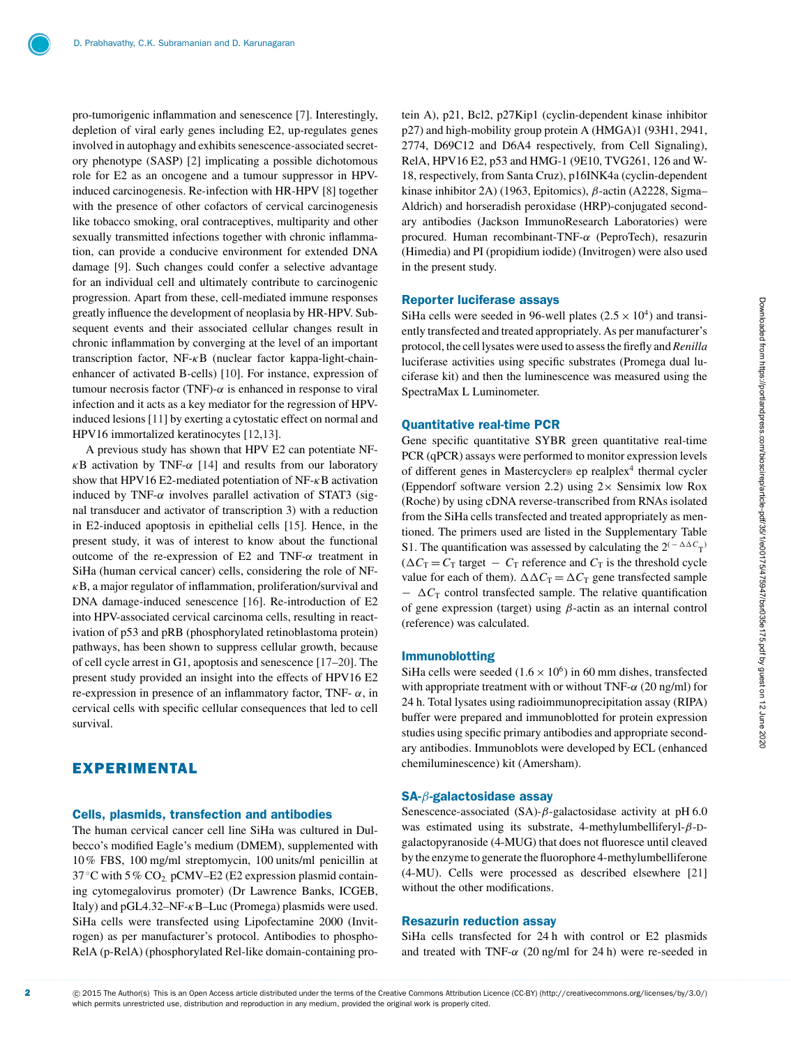pro-tumorigenic inflammation and senescence [\[7\]](#page-9-6). Interestingly, depletion of viral early genes including E2, up-regulates genes involved in autophagy and exhibits senescence-associated secretory phenotype (SASP) [\[2\]](#page-9-1) implicating a possible dichotomous role for E2 as an oncogene and a tumour suppressor in HPVinduced carcinogenesis. Re-infection with HR-HPV [\[8\]](#page-9-7) together with the presence of other cofactors of cervical carcinogenesis like tobacco smoking, oral contraceptives, multiparity and other sexually transmitted infections together with chronic inflammation, can provide a conducive environment for extended DNA damage [\[9\]](#page-9-8). Such changes could confer a selective advantage for an individual cell and ultimately contribute to carcinogenic progression. Apart from these, cell-mediated immune responses greatly influence the development of neoplasia by HR-HPV. Subsequent events and their associated cellular changes result in chronic inflammation by converging at the level of an important transcription factor, NF-κB (nuclear factor kappa-light-chainenhancer of activated B-cells) [\[10\]](#page-9-9). For instance, expression of tumour necrosis factor (TNF)- $\alpha$  is enhanced in response to viral infection and it acts as a key mediator for the regression of HPVinduced lesions [\[11\]](#page-9-10) by exerting a cytostatic effect on normal and HPV16 immortalized keratinocytes [\[12](#page-9-11)[,13\]](#page-9-12).

A previous study has shown that HPV E2 can potentiate NF- $\kappa$ B activation by TNF- $\alpha$  [\[14\]](#page-9-13) and results from our laboratory show that HPV16 E2-mediated potentiation of NF- $\kappa$ B activation induced by TNF- $\alpha$  involves parallel activation of STAT3 (signal transducer and activator of transcription 3) with a reduction in E2-induced apoptosis in epithelial cells [\[15\]](#page-9-14). Hence, in the present study, it was of interest to know about the functional outcome of the re-expression of E2 and TNF-α treatment in SiHa (human cervical cancer) cells, considering the role of NF- $\kappa$ B, a major regulator of inflammation, proliferation/survival and DNA damage-induced senescence [\[16\]](#page-9-15). Re-introduction of E2 into HPV-associated cervical carcinoma cells, resulting in reactivation of p53 and pRB (phosphorylated retinoblastoma protein) pathways, has been shown to suppress cellular growth, because of cell cycle arrest in G1, apoptosis and senescence [\[17–](#page-9-16)[20\]](#page-9-17). The present study provided an insight into the effects of HPV16 E2 re-expression in presence of an inflammatory factor, TNF- α, in cervical cells with specific cellular consequences that led to cell survival.

# EXPERIMENTAL

## Cells, plasmids, transfection and antibodies

The human cervical cancer cell line SiHa was cultured in Dulbecco's modified Eagle's medium (DMEM), supplemented with 10% FBS, 100 mg/ml streptomycin, 100 units/ml penicillin at 37 °C with 5 % CO<sub>2.</sub> pCMV–E2 (E2 expression plasmid containing cytomegalovirus promoter) (Dr Lawrence Banks, ICGEB, Italy) and  $pGL4.32-NF-\kappa B-Luc$  (Promega) plasmids were used. SiHa cells were transfected using Lipofectamine 2000 (Invitrogen) as per manufacturer's protocol. Antibodies to phospho-RelA (p-RelA) (phosphorylated Rel-like domain-containing protein A), p21, Bcl2, p27Kip1 (cyclin-dependent kinase inhibitor p27) and high-mobility group protein A (HMGA)1 (93H1, 2941, 2774, D69C12 and D6A4 respectively, from Cell Signaling), RelA, HPV16 E2, p53 and HMG-1 (9E10, TVG261, 126 and W-18, respectively, from Santa Cruz), p16INK4a (cyclin-dependent kinase inhibitor 2A) (1963, Epitomics), β-actin (A2228, Sigma– Aldrich) and horseradish peroxidase (HRP)-conjugated secondary antibodies (Jackson ImmunoResearch Laboratories) were procured. Human recombinant-TNF-α (PeproTech), resazurin (Himedia) and PI (propidium iodide) (Invitrogen) were also used in the present study.

## Reporter luciferase assays

SiHa cells were seeded in 96-well plates ( $2.5 \times 10^4$ ) and transiently transfected and treated appropriately. As per manufacturer's protocol, the cell lysates were used to assess the firefly and *Renilla* luciferase activities using specific substrates (Promega dual luciferase kit) and then the luminescence was measured using the SpectraMax L Luminometer.

#### Quantitative real-time PCR

Gene specific quantitative SYBR green quantitative real-time PCR (qPCR) assays were performed to monitor expression levels of different genes in Mastercycler® ep realplex<sup>4</sup> thermal cycler (Eppendorf software version 2.2) using  $2 \times$  Sensimix low Rox (Roche) by using cDNA reverse-transcribed from RNAs isolated from the SiHa cells transfected and treated appropriately as mentioned. The primers used are listed in the Supplementary Table S1. The quantification was assessed by calculating the  $2^{(-\Delta\Delta C_{\text{T}})}$  $(\Delta C_T = C_T \text{ target } - C_T \text{ reference and } C_T \text{ is the threshold cycle})$ value for each of them).  $\Delta \Delta C_T = \Delta C_T$  gene transfected sample  $-\Delta C_{\text{T}}$  control transfected sample. The relative quantification of gene expression (target) using  $\beta$ -actin as an internal control (reference) was calculated.

## Immunoblotting

SiHa cells were seeded  $(1.6 \times 10^6)$  in 60 mm dishes, transfected with appropriate treatment with or without TNF- $\alpha$  (20 ng/ml) for 24 h. Total lysates using radioimmunoprecipitation assay (RIPA) buffer were prepared and immunoblotted for protein expression studies using specific primary antibodies and appropriate secondary antibodies. Immunoblots were developed by ECL (enhanced chemiluminescence) kit (Amersham).

#### SA-β-galactosidase assay

Senescence-associated (SA)- $\beta$ -galactosidase activity at pH 6.0 was estimated using its substrate, 4-methylumbelliferyl-β-Dgalactopyranoside (4-MUG) that does not fluoresce until cleaved by the enzyme to generate the fluorophore 4-methylumbelliferone (4-MU). Cells were processed as described elsewhere [\[21\]](#page-9-18) without the other modifications.

## Resazurin reduction assay

SiHa cells transfected for 24 h with control or E2 plasmids and treated with TNF- $\alpha$  (20 ng/ml for 24 h) were re-seeded in

<sup>2</sup> componstand CD15 The Author(s) This is an Open Access article distributed under the terms of the Creative Commons Attribution Licence (CC-BY) [\(http://creativecommons.org/licenses/by/3.0/\)](http://creativecommons.org/licenses/by/3.0/) which permits unrestricted use, distribution and reproduction in any medium, provided the original work is properly cited.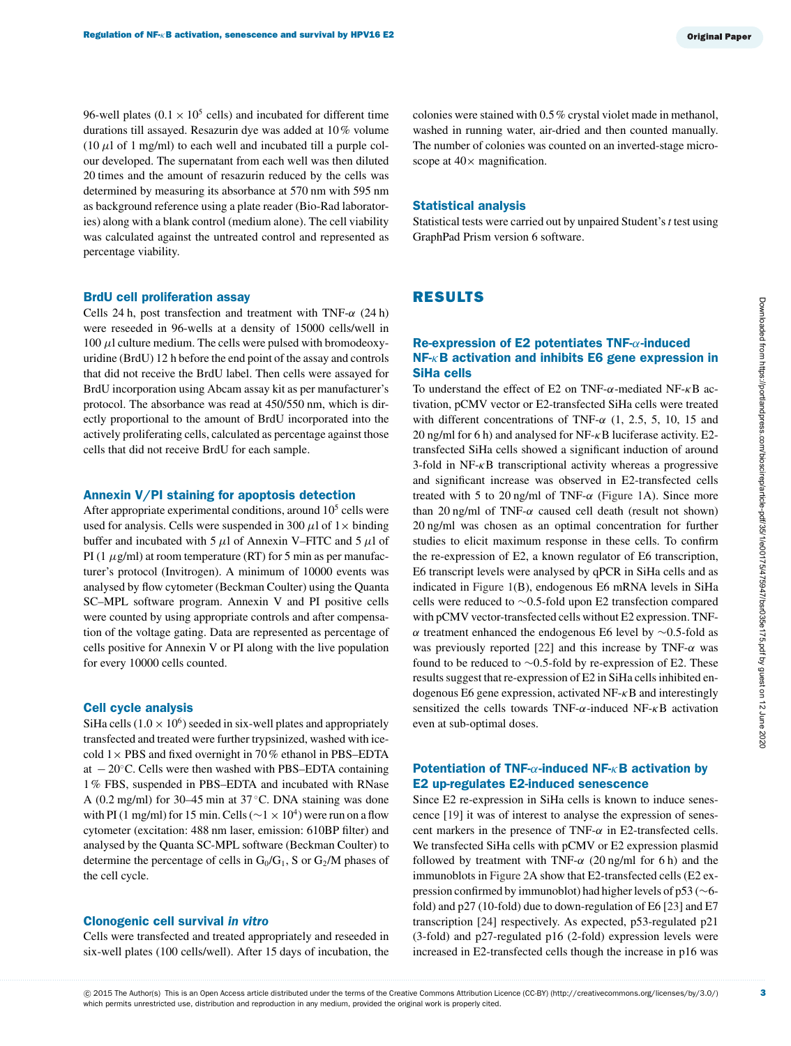96-well plates ( $0.1 \times 10^5$  cells) and incubated for different time durations till assayed. Resazurin dye was added at 10% volume (10  $\mu$ l of 1 mg/ml) to each well and incubated till a purple colour developed. The supernatant from each well was then diluted 20 times and the amount of resazurin reduced by the cells was determined by measuring its absorbance at 570 nm with 595 nm as background reference using a plate reader (Bio-Rad laboratories) along with a blank control (medium alone). The cell viability was calculated against the untreated control and represented as percentage viability.

### BrdU cell proliferation assay

Cells 24 h, post transfection and treatment with TNF- $\alpha$  (24 h) were reseeded in 96-wells at a density of 15000 cells/well in 100  $\mu$ l culture medium. The cells were pulsed with bromodeoxyuridine (BrdU) 12 h before the end point of the assay and controls that did not receive the BrdU label. Then cells were assayed for BrdU incorporation using Abcam assay kit as per manufacturer's protocol. The absorbance was read at 450/550 nm, which is directly proportional to the amount of BrdU incorporated into the actively proliferating cells, calculated as percentage against those cells that did not receive BrdU for each sample.

#### Annexin V/PI staining for apoptosis detection

After appropriate experimental conditions, around  $10<sup>5</sup>$  cells were used for analysis. Cells were suspended in 300  $\mu$ l of 1 $\times$  binding buffer and incubated with 5  $\mu$ l of Annexin V–FITC and 5  $\mu$ l of PI (1  $\mu$ g/ml) at room temperature (RT) for 5 min as per manufacturer's protocol (Invitrogen). A minimum of 10000 events was analysed by flow cytometer (Beckman Coulter) using the Quanta SC–MPL software program. Annexin V and PI positive cells were counted by using appropriate controls and after compensation of the voltage gating. Data are represented as percentage of cells positive for Annexin V or PI along with the live population for every 10000 cells counted.

## Cell cycle analysis

SiHa cells  $(1.0 \times 10^6)$  seeded in six-well plates and appropriately transfected and treated were further trypsinized, washed with icecold  $1 \times$  PBS and fixed overnight in 70% ethanol in PBS–EDTA at − 20◦C. Cells were then washed with PBS–EDTA containing 1% FBS, suspended in PBS–EDTA and incubated with RNase A (0.2 mg/ml) for 30–45 min at 37 $^{\circ}$ C. DNA staining was done with PI (1 mg/ml) for 15 min. Cells ( $\sim$ 1 × 10<sup>4</sup>) were run on a flow cytometer (excitation: 488 nm laser, emission: 610BP filter) and analysed by the Quanta SC-MPL software (Beckman Coulter) to determine the percentage of cells in  $G_0/G_1$ , S or  $G_2/M$  phases of the cell cycle.

## Clonogenic cell survival *in vitro*

Cells were transfected and treated appropriately and reseeded in six-well plates (100 cells/well). After 15 days of incubation, the

colonies were stained with 0.5% crystal violet made in methanol, washed in running water, air-dried and then counted manually. The number of colonies was counted on an inverted-stage microscope at  $40\times$  magnification.

#### Statistical analysis

Statistical tests were carried out by unpaired Student's*t* test using GraphPad Prism version 6 software.

# RESULTS

## Re-expression of E2 potentiates TNF-α-induced NF-κB activation and inhibits E6 gene expression in SiHa cells

To understand the effect of E2 on TNF- $\alpha$ -mediated NF- $\kappa$ B activation, pCMV vector or E2-transfected SiHa cells were treated with different concentrations of TNF- $\alpha$  (1, 2.5, 5, 10, 15 and 20 ng/ml for 6 h) and analysed for NF-κB luciferase activity. E2 transfected SiHa cells showed a significant induction of around 3-fold in  $NF-\kappa B$  transcriptional activity whereas a progressive and significant increase was observed in E2-transfected cells treated with 5 to 20 ng/ml of TNF- $\alpha$  [\(Figure 1A](#page-3-0)). Since more than 20 ng/ml of TNF- $\alpha$  caused cell death (result not shown) 20 ng/ml was chosen as an optimal concentration for further studies to elicit maximum response in these cells. To confirm the re-expression of E2, a known regulator of E6 transcription, E6 transcript levels were analysed by qPCR in SiHa cells and as indicated in [Figure 1\(](#page-3-0)B), endogenous E6 mRNA levels in SiHa cells were reduced to ∼0.5-fold upon E2 transfection compared with pCMV vector-transfected cells without E2 expression. TNFα treatment enhanced the endogenous E6 level by ∼0.5-fold as was previously reported [\[22\]](#page-9-19) and this increase by TNF- $\alpha$  was found to be reduced to  $\sim$ 0.5-fold by re-expression of E2. These results suggest that re-expression of E2 in SiHa cells inhibited endogenous E6 gene expression, activated  $NF-\kappa B$  and interestingly sensitized the cells towards TNF- $\alpha$ -induced NF- $\kappa$ B activation even at sub-optimal doses.

## Potentiation of TNF- $\alpha$ -induced NF- $\kappa$ B activation by E2 up-regulates E2-induced senescence

Since E2 re-expression in SiHa cells is known to induce senescence [\[19\]](#page-9-20) it was of interest to analyse the expression of senescent markers in the presence of TNF- $\alpha$  in E2-transfected cells. We transfected SiHa cells with pCMV or E2 expression plasmid followed by treatment with TNF- $\alpha$  (20 ng/ml for 6 h) and the immunoblots in [Figure 2A](#page-4-0) show that E2-transfected cells (E2 expression confirmed by immunoblot) had higher levels of p53 (∼6 fold) and p27 (10-fold) due to down-regulation of E6 [\[23\]](#page-10-0) and E7 transcription [\[24\]](#page-10-1) respectively. As expected, p53-regulated p21 (3-fold) and p27-regulated p16 (2-fold) expression levels were increased in E2-transfected cells though the increase in p16 was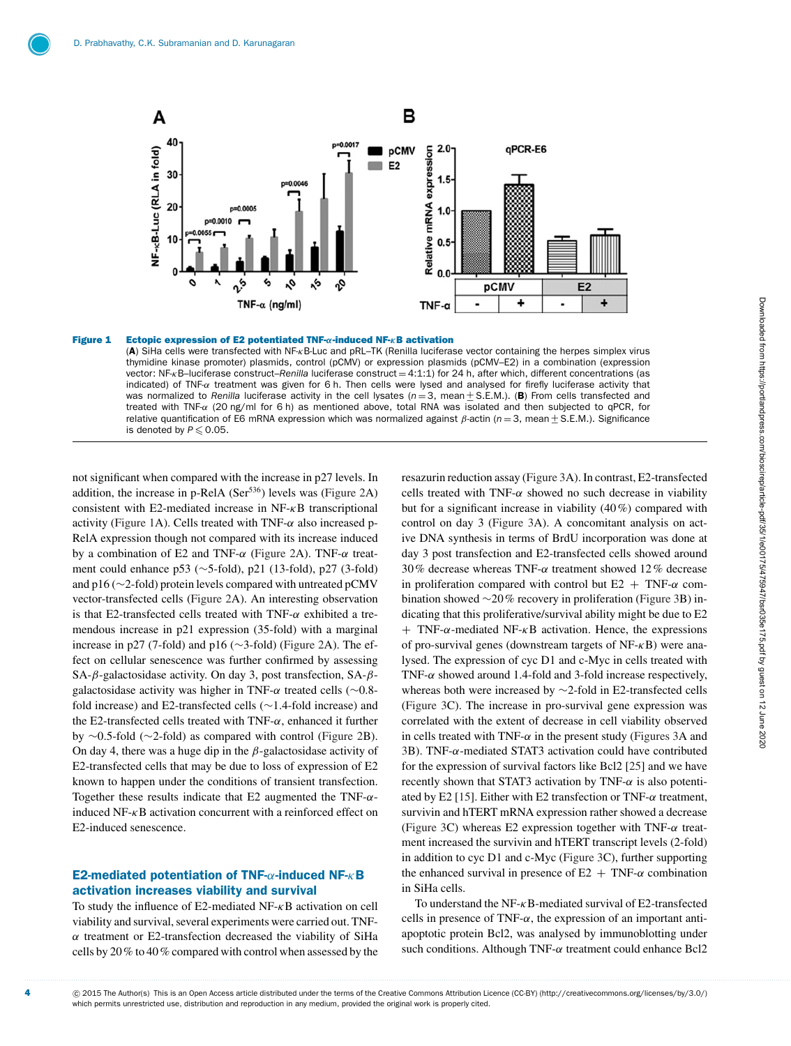<span id="page-3-0"></span>

## Figure 1 Ectopic expression of E2 potentiated TNF-*α*-induced NF-*κ*B activation

(A) SiHa cells were transfected with NF-κB-Luc and pRL–TK (Renilla luciferase vector containing the herpes simplex virus thymidine kinase promoter) plasmids, control (pCMV) or expression plasmids (pCMV–E2) in a combination (expression vector: NF<sub>K</sub>B-luciferase construct–*Renilla* luciferase construct = 4:1:1) for 24 h, after which, different concentrations (as indicated) of TNF- $\alpha$  treatment was given for 6 h. Then cells were lysed and analysed for firefly luciferase activity that was normalized to *Renilla* luciferase activity in the cell lysates (*n* = 3, mean + S.E.M.). (**B**) From cells transfected and treated with TNF-α (20 ng/ml for 6 h) as mentioned above, total RNA was isolated and then subjected to qPCR, for relative quantification of E6 mRNA expression which was normalized against β-actin (*n* = 3, mean  $±$  S.E.M.). Significance is denoted by  $P \leqslant 0.05$ .

not significant when compared with the increase in p27 levels. In addition, the increase in p-RelA ( $Ser<sup>536</sup>$ ) levels was [\(Figure 2A](#page-4-0)) consistent with E2-mediated increase in  $NF- $\kappa$ B$  transcriptional activity [\(Figure 1A](#page-3-0)). Cells treated with  $TNF-\alpha$  also increased p-RelA expression though not compared with its increase induced by a combination of E2 and TNF- $\alpha$  [\(Figure 2A](#page-4-0)). TNF- $\alpha$  treatment could enhance p53 (∼5-fold), p21 (13-fold), p27 (3-fold) and p16 (∼2-fold) protein levels compared with untreated pCMV vector-transfected cells [\(Figure 2A](#page-4-0)). An interesting observation is that E2-transfected cells treated with TNF- $\alpha$  exhibited a tremendous increase in p21 expression (35-fold) with a marginal increase in p27 (7-fold) and p16 (∼3-fold) [\(Figure 2A](#page-4-0)). The effect on cellular senescence was further confirmed by assessing SA-β-galactosidase activity. On day 3, post transfection, SA-βgalactosidase activity was higher in TNF- $\alpha$  treated cells (∼0.8fold increase) and E2-transfected cells (∼1.4-fold increase) and the E2-transfected cells treated with TNF- $\alpha$ , enhanced it further by ∼0.5-fold (∼2-fold) as compared with control [\(Figure 2B](#page-4-0)). On day 4, there was a huge dip in the  $\beta$ -galactosidase activity of E2-transfected cells that may be due to loss of expression of E2 known to happen under the conditions of transient transfection. Together these results indicate that E2 augmented the TNF- $\alpha$ induced NF-κB activation concurrent with a reinforced effect on E2-induced senescence.

## E2-mediated potentiation of TNF-α-induced NF-κB activation increases viability and survival

To study the influence of E2-mediated NF-κB activation on cell viability and survival, several experiments were carried out. TNF- $\alpha$  treatment or E2-transfection decreased the viability of SiHa cells by 20% to 40% compared with control when assessed by the resazurin reduction assay [\(Figure 3A](#page-5-0)). In contrast, E2-transfected cells treated with TNF- $\alpha$  showed no such decrease in viability but for a significant increase in viability (40%) compared with control on day 3 [\(Figure 3A](#page-5-0)). A concomitant analysis on active DNA synthesis in terms of BrdU incorporation was done at day 3 post transfection and E2-transfected cells showed around 30% decrease whereas TNF-α treatment showed 12% decrease in proliferation compared with control but  $E2 + TNF-\alpha$  combination showed ∼20% recovery in proliferation [\(Figure 3B](#page-5-0)) indicating that this proliferative/survival ability might be due to E2  $+$  TNF- $\alpha$ -mediated NF- $\kappa$ B activation. Hence, the expressions of pro-survival genes (downstream targets of  $NF-<sub>K</sub>B$ ) were analysed. The expression of cyc D1 and c-Myc in cells treated with TNF- $\alpha$  showed around 1.4-fold and 3-fold increase respectively, whereas both were increased by ∼2-fold in E2-transfected cells [\(Figure 3C](#page-5-0)). The increase in pro-survival gene expression was correlated with the extent of decrease in cell viability observed in cells treated with TNF- $\alpha$  in the present study [\(Figures 3A](#page-5-0) and [3B](#page-5-0)). TNF- $\alpha$ -mediated STAT3 activation could have contributed for the expression of survival factors like Bcl2 [\[25\]](#page-10-2) and we have recently shown that STAT3 activation by TNF- $\alpha$  is also potenti-ated by E2 [\[15\]](#page-9-14). Either with E2 transfection or TNF- $\alpha$  treatment, survivin and hTERT mRNA expression rather showed a decrease [\(Figure 3C](#page-5-0)) whereas E2 expression together with TNF- $\alpha$  treatment increased the survivin and hTERT transcript levels (2-fold) in addition to cyc D1 and c-Myc [\(Figure 3C](#page-5-0)), further supporting the enhanced survival in presence of  $E2 + TNF-\alpha$  combination in SiHa cells.

To understand the NF-κB-mediated survival of E2-transfected cells in presence of TNF- $\alpha$ , the expression of an important antiapoptotic protein Bcl2, was analysed by immunoblotting under such conditions. Although TNF- $\alpha$  treatment could enhance Bcl2

4  $\degree$  2015 The Author(s) This is an Open Access article distributed under the terms of the Creative Commons Attribution Licence (CC-BY) [\(http://creativecommons.org/licenses/by/3.0/\)](http://creativecommons.org/licenses/by/3.0/) which permits unrestricted use, distribution and reproduction in any medium, provided the original work is properly cited.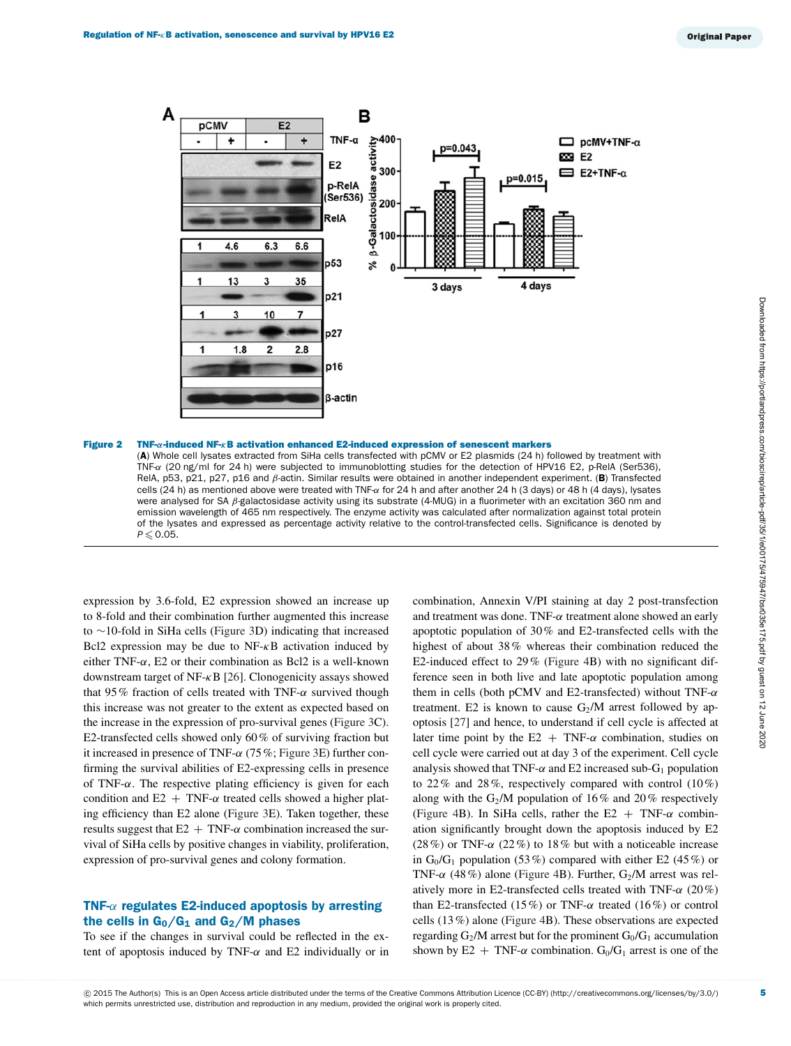<span id="page-4-0"></span>

#### Figure 2 TNF-*α*-induced NF-*κ*B activation enhanced E2-induced expression of senescent markers

(A) Whole cell lysates extracted from SiHa cells transfected with pCMV or E2 plasmids (24 h) followed by treatment with TNF-α (20 ng/ml for 24 h) were subjected to immunoblotting studies for the detection of HPV16 E2, p-RelA (Ser536), RelA, p53, p21, p27, p16 and  $\beta$ -actin. Similar results were obtained in another independent experiment. (B) Transfected cells (24 h) as mentioned above were treated with TNF- $\alpha$  for 24 h and after another 24 h (3 days) or 48 h (4 days), lysates were analysed for SA  $\beta$ -galactosidase activity using its substrate (4-MUG) in a fluorimeter with an excitation 360 nm and emission wavelength of 465 nm respectively. The enzyme activity was calculated after normalization against total protein of the lysates and expressed as percentage activity relative to the control-transfected cells. Significance is denoted by  $P \leqslant 0.05$ .

expression by 3.6-fold, E2 expression showed an increase up to 8-fold and their combination further augmented this increase to ∼10-fold in SiHa cells [\(Figure 3D](#page-5-0)) indicating that increased Bcl2 expression may be due to  $NF- $\kappa$ B$  activation induced by either TNF- $\alpha$ , E2 or their combination as Bcl2 is a well-known downstream target of NF-κB [\[26\]](#page-10-3). Clonogenicity assays showed that 95% fraction of cells treated with TNF- $\alpha$  survived though this increase was not greater to the extent as expected based on the increase in the expression of pro-survival genes [\(Figure 3C](#page-5-0)). E2-transfected cells showed only 60% of surviving fraction but it increased in presence of TNF- $\alpha$  (75%; [Figure 3E](#page-5-0)) further confirming the survival abilities of E2-expressing cells in presence of TNF- $\alpha$ . The respective plating efficiency is given for each condition and  $E2 + TNF-\alpha$  treated cells showed a higher plating efficiency than E2 alone [\(Figure 3E](#page-5-0)). Taken together, these results suggest that  $E2 + TNF-\alpha$  combination increased the survival of SiHa cells by positive changes in viability, proliferation, expression of pro-survival genes and colony formation.

## TNF- $\alpha$  regulates E2-induced apoptosis by arresting the cells in  $G_0/G_1$  and  $G_2/M$  phases

To see if the changes in survival could be reflected in the extent of apoptosis induced by TNF- $\alpha$  and E2 individually or in

combination, Annexin V/PI staining at day 2 post-transfection and treatment was done. TNF- $\alpha$  treatment alone showed an early apoptotic population of 30% and E2-transfected cells with the highest of about 38% whereas their combination reduced the E2-induced effect to 29% [\(Figure 4B](#page-6-0)) with no significant difference seen in both live and late apoptotic population among them in cells (both pCMV and E2-transfected) without TNF- $\alpha$ treatment. E2 is known to cause  $G_2/M$  arrest followed by apoptosis [\[27\]](#page-10-4) and hence, to understand if cell cycle is affected at later time point by the E2 + TNF- $\alpha$  combination, studies on cell cycle were carried out at day 3 of the experiment. Cell cycle analysis showed that TNF- $\alpha$  and E2 increased sub-G<sub>1</sub> population to 22% and 28%, respectively compared with control (10%) along with the G<sub>2</sub>/M population of 16% and 20% respectively [\(Figure 4B](#page-6-0)). In SiHa cells, rather the E2 + TNF- $\alpha$  combination significantly brought down the apoptosis induced by E2 (28%) or TNF- $\alpha$  (22%) to 18% but with a noticeable increase in  $G_0/G_1$  population (53%) compared with either E2 (45%) or TNF- $\alpha$  (48%) alone [\(Figure 4B](#page-6-0)). Further,  $G_2/M$  arrest was relatively more in E2-transfected cells treated with TNF- $\alpha$  (20%) than E2-transfected (15%) or TNF- $\alpha$  treated (16%) or control cells (13%) alone [\(Figure 4B](#page-6-0)). These observations are expected regarding  $G_2/M$  arrest but for the prominent  $G_0/G_1$  accumulation shown by E2 + TNF- $\alpha$  combination. G<sub>0</sub>/G<sub>1</sub> arrest is one of the

5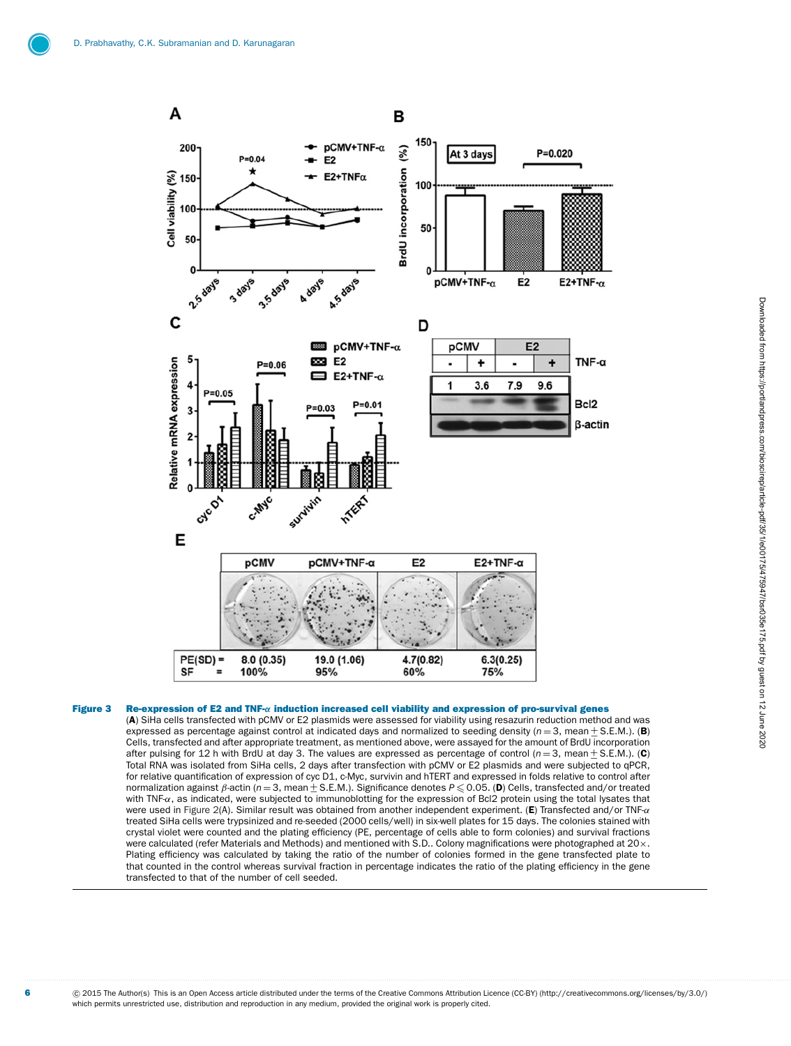<span id="page-5-0"></span>

## Figure 3 Re-expression of E2 and TNF-*α* induction increased cell viability and expression of pro-survival genes

(A) SiHa cells transfected with pCMV or E2 plasmids were assessed for viability using resazurin reduction method and was expressed as percentage against control at indicated days and normalized to seeding density ( $n = 3$ , mean  $\pm$  S.E.M.). (B) Cells, transfected and after appropriate treatment, as mentioned above, were assayed for the amount of BrdU incorporation after pulsing for 12 h with BrdU at day 3. The values are expressed as percentage of control ( $n = 3$ after pulsing for 12 h with BrdU at day 3. The values are expressed as percentage of control (n=3, mean±S.E.M.). (C)<br>Total RNA was isolated from SiHa cells, 2 days after transfection with pCMV or E2 plasmids and were subje for relative quantification of expression of cyc D1, c-Myc, survivin and hTERT and expressed in folds relative to control after normalization against β-actin (*n* = 3, mean <u>+</u> S.E.M.). Significance denotes *P* ≤ 0.05. (**D**) Cells, transfected and/or treated<br>with TNEγ as indicated, were subjected to immunoblotting for the expression of Bcl2 prote with TNF- $\alpha$ , as indicated, were subjected to immunoblotting for the expression of Bcl2 protein using the total lysates that were used in [Figure 2\(](#page-4-0)A). Similar result was obtained from another independent experiment. (E) Transfected and/or TNF-α treated SiHa cells were trypsinized and re-seeded (2000 cells/well) in six-well plates for 15 days. The colonies stained with crystal violet were counted and the plating efficiency (PE, percentage of cells able to form colonies) and survival fractions were calculated (refer Materials and Methods) and mentioned with S.D.. Colony magnifications were photographed at 20×. Plating efficiency was calculated by taking the ratio of the number of colonies formed in the gene transfected plate to that counted in the control whereas survival fraction in percentage indicates the ratio of the plating efficiency in the gene transfected to that of the number of cell seeded.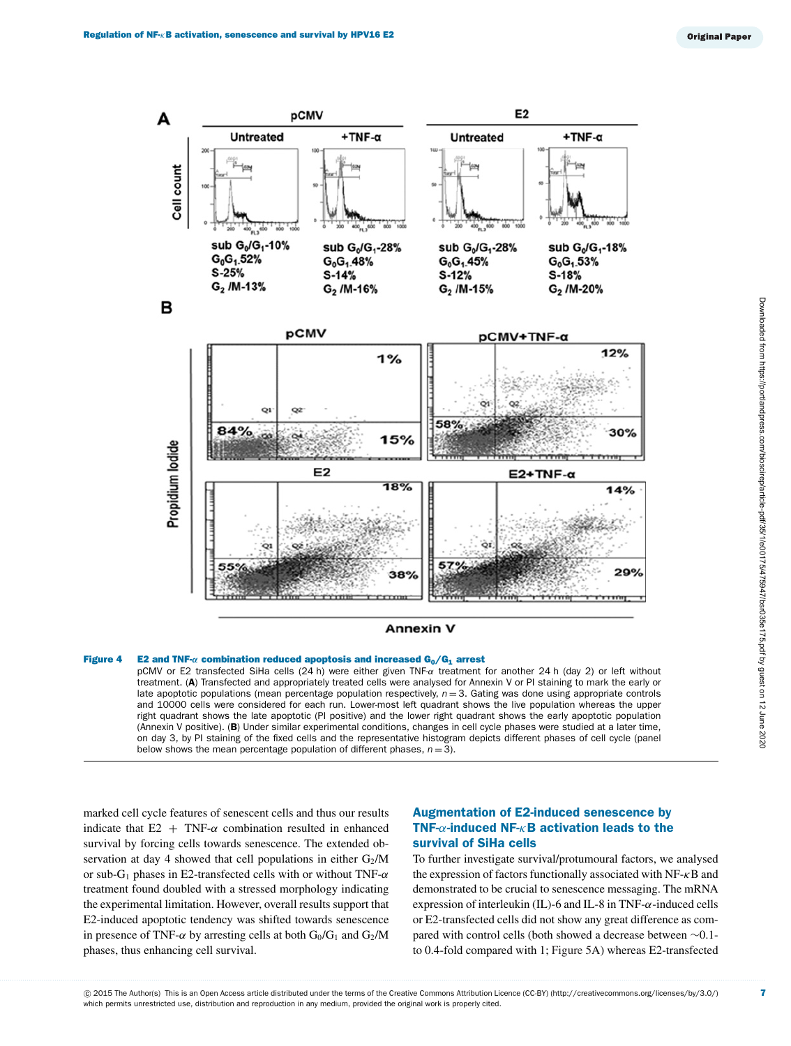<span id="page-6-0"></span>

## Figure 4 E2 and TNF-*α* combination reduced apoptosis and increased G<sub>0</sub>/G<sub>1</sub> arrest

pCMV or E2 transfected SiHa cells (24 h) were either given TNF-α treatment for another 24 h (day 2) or left without treatment. (A) Transfected and appropriately treated cells were analysed for Annexin V or PI staining to mark the early or late apoptotic populations (mean percentage population respectively,  $n = 3$ . Gating was done using appropriate controls and 10000 cells were considered for each run. Lower-most left quadrant shows the live population whereas the upper right quadrant shows the late apoptotic (PI positive) and the lower right quadrant shows the early apoptotic population (Annexin V positive). (B) Under similar experimental conditions, changes in cell cycle phases were studied at a later time, on day 3, by PI staining of the fixed cells and the representative histogram depicts different phases of cell cycle (panel below shows the mean percentage population of different phases,  $n = 3$ ).

marked cell cycle features of senescent cells and thus our results indicate that  $E2 + TNF-\alpha$  combination resulted in enhanced survival by forcing cells towards senescence. The extended observation at day 4 showed that cell populations in either  $G_2/M$ or sub-G<sub>1</sub> phases in E2-transfected cells with or without TNF- $\alpha$ treatment found doubled with a stressed morphology indicating the experimental limitation. However, overall results support that E2-induced apoptotic tendency was shifted towards senescence in presence of TNF- $\alpha$  by arresting cells at both  $G_0/G_1$  and  $G_2/M$ phases, thus enhancing cell survival.

## Augmentation of E2-induced senescence by TNF- $\alpha$ -induced NF- $\kappa$ B activation leads to the survival of SiHa cells

To further investigate survival/protumoural factors, we analysed the expression of factors functionally associated with  $NF-<sub>k</sub>B$  and demonstrated to be crucial to senescence messaging. The mRNA expression of interleukin (IL)-6 and IL-8 in TNF-α-induced cells or E2-transfected cells did not show any great difference as compared with control cells (both showed a decrease between ∼0.1 to 0.4-fold compared with 1; [Figure 5A](#page-7-0)) whereas E2-transfected

7

@ 2015 The Author(s) This is an Open Access article distributed under the terms of the Creative Commons Attribution Licence (CC-BY) [\(http://creativecommons.org/licenses/by/3.0/\)](http://creativecommons.org/licenses/by/3.0/) which permits unrestricted use, distribution and reproduction in any medium, provided the original work is properly cited.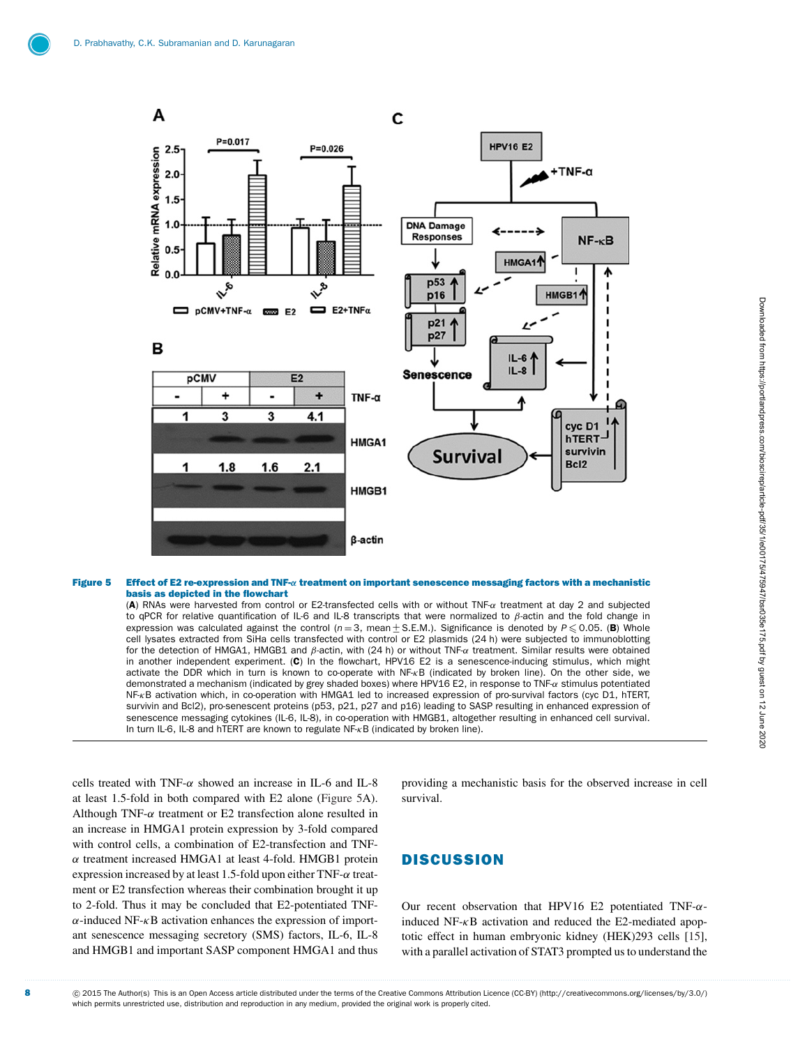<span id="page-7-0"></span>

#### Figure 5 Effect of E2 re-expression and TNF-*α* treatment on important senescence messaging factors with a mechanistic basis as depicted in the flowchart

(A) RNAs were harvested from control or E2-transfected cells with or without TNF-α treatment at day 2 and subjected to qPCR for relative quantification of IL-6 and IL-8 transcripts that were normalized to  $\beta$ -actin and the fold change in expression was calculated against the control (n=3, mean±S.E.M.). Significance is denoted by P≤0.05. (B) Whole<br>cell lysates extracted from SiHa cells transfected with control or E2 plasmids (24 h) were subjected to immuno expression was calculated against the control ( $n=3$ , mean + S.E.M.). Significance is denoted by  $P \le 0.05$ . (B) Whole for the detection of HMGA1, HMGB1 and β-actin, with (24 h) or without TNF-α treatment. Similar results were obtained in another independent experiment. (C) In the flowchart, HPV16 E2 is a senescence-inducing stimulus, which might activate the DDR which in turn is known to co-operate with NF-κB (indicated by broken line). On the other side, we demonstrated a mechanism (indicated by grey shaded boxes) where HPV16 E2, in response to TNF-α stimulus potentiated NF-κB activation which, in co-operation with HMGA1 led to increased expression of pro-survival factors (cyc D1, hTERT, survivin and Bcl2), pro-senescent proteins (p53, p21, p27 and p16) leading to SASP resulting in enhanced expression of senescence messaging cytokines (IL-6, IL-8), in co-operation with HMGB1, altogether resulting in enhanced cell survival. In turn IL-6, IL-8 and hTERT are known to regulate NF-κB (indicated by broken line).

cells treated with TNF- $\alpha$  showed an increase in IL-6 and IL-8 at least 1.5-fold in both compared with E2 alone [\(Figure 5A](#page-7-0)). Although TNF- $\alpha$  treatment or E2 transfection alone resulted in an increase in HMGA1 protein expression by 3-fold compared with control cells, a combination of E2-transfection and TNFα treatment increased HMGA1 at least 4-fold. HMGB1 protein expression increased by at least 1.5-fold upon either TNF- $\alpha$  treatment or E2 transfection whereas their combination brought it up to 2-fold. Thus it may be concluded that E2-potentiated TNF- $\alpha$ -induced NF- $\kappa$ B activation enhances the expression of important senescence messaging secretory (SMS) factors, IL-6, IL-8 and HMGB1 and important SASP component HMGA1 and thus providing a mechanistic basis for the observed increase in cell survival.

# **DISCUSSION**

Our recent observation that HPV16 E2 potentiated TNF- $\alpha$ induced  $NF-<sub>K</sub>B$  activation and reduced the E2-mediated apoptotic effect in human embryonic kidney (HEK)293 cells [\[15\]](#page-9-14), with a parallel activation of STAT3 prompted us to understand the

8 component CO2015 The Author(s) This is an Open Access article distributed under the terms of the Creative Commons Attribution Licence (CC-BY) [\(http://creativecommons.org/licenses/by/3.0/\)](http://creativecommons.org/licenses/by/3.0/) which permits unrestricted use, distribution and reproduction in any medium, provided the original work is properly cited.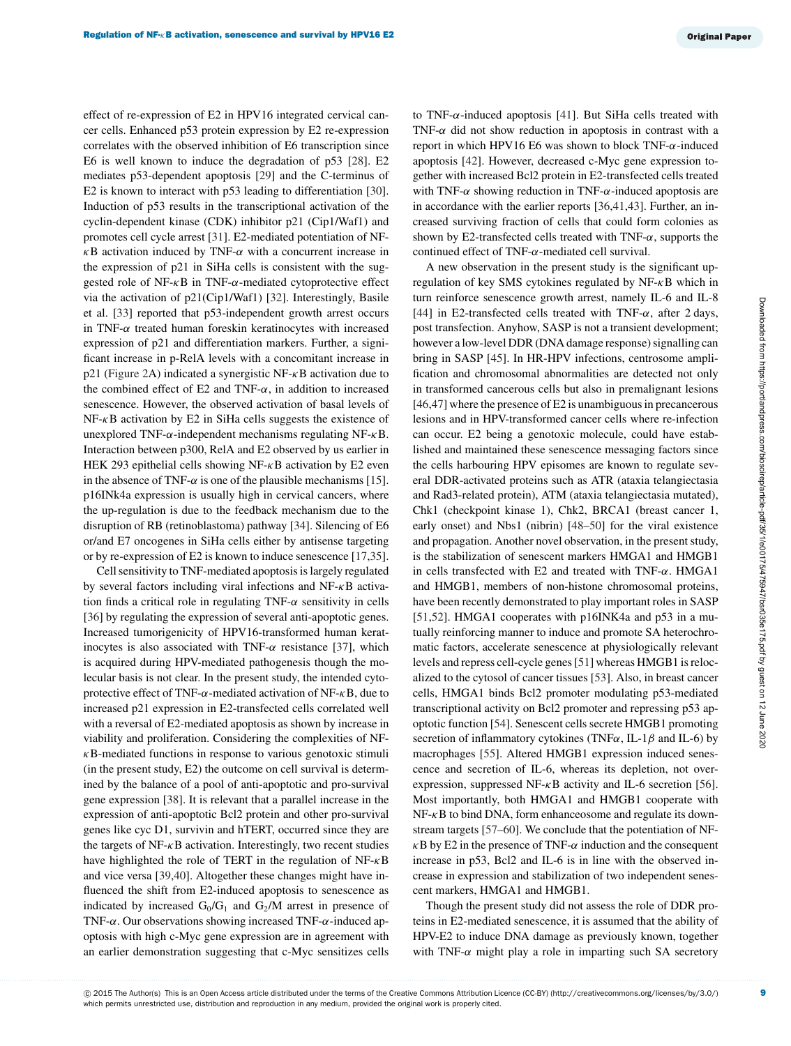effect of re-expression of E2 in HPV16 integrated cervical cancer cells. Enhanced p53 protein expression by E2 re-expression correlates with the observed inhibition of E6 transcription since E6 is well known to induce the degradation of p53 [\[28\]](#page-10-5). E2 mediates p53-dependent apoptosis [\[29\]](#page-10-6) and the C-terminus of E2 is known to interact with p53 leading to differentiation [\[30\]](#page-10-7). Induction of p53 results in the transcriptional activation of the cyclin-dependent kinase (CDK) inhibitor p21 (Cip1/Waf1) and promotes cell cycle arrest [\[31\]](#page-10-8). E2-mediated potentiation of NF- $\kappa$ B activation induced by TNF- $\alpha$  with a concurrent increase in the expression of p21 in SiHa cells is consistent with the suggested role of  $NF-\kappa B$  in TNF- $\alpha$ -mediated cytoprotective effect via the activation of p21(Cip1/Waf1) [\[32\]](#page-10-9). Interestingly, Basile et al. [\[33\]](#page-10-10) reported that p53-independent growth arrest occurs in TNF- $\alpha$  treated human foreskin keratinocytes with increased expression of p21 and differentiation markers. Further, a significant increase in p-RelA levels with a concomitant increase in p21 [\(Figure 2A](#page-4-0)) indicated a synergistic NF- $\kappa$ B activation due to the combined effect of E2 and TNF- $\alpha$ , in addition to increased senescence. However, the observed activation of basal levels of NF-κB activation by E2 in SiHa cells suggests the existence of unexplored TNF- $α$ -independent mechanisms regulating NF- $κ$ B. Interaction between p300, RelA and E2 observed by us earlier in HEK 293 epithelial cells showing NF- $\kappa$ B activation by E2 even in the absence of TNF- $\alpha$  is one of the plausible mechanisms [\[15\]](#page-9-14). p16INk4a expression is usually high in cervical cancers, where the up-regulation is due to the feedback mechanism due to the disruption of RB (retinoblastoma) pathway [\[34\]](#page-10-11). Silencing of E6 or/and E7 oncogenes in SiHa cells either by antisense targeting or by re-expression of E2 is known to induce senescence [\[17,](#page-9-16)[35\]](#page-10-12).

Cell sensitivity to TNF-mediated apoptosis is largely regulated by several factors including viral infections and  $NF-\kappa B$  activation finds a critical role in regulating TNF- $\alpha$  sensitivity in cells [\[36\]](#page-10-13) by regulating the expression of several anti-apoptotic genes. Increased tumorigenicity of HPV16-transformed human keratinocytes is also associated with TNF- $\alpha$  resistance [\[37\]](#page-10-14), which is acquired during HPV-mediated pathogenesis though the molecular basis is not clear. In the present study, the intended cytoprotective effect of TNF- $\alpha$ -mediated activation of NF- $\kappa$ B, due to increased p21 expression in E2-transfected cells correlated well with a reversal of E2-mediated apoptosis as shown by increase in viability and proliferation. Considering the complexities of NF- $\kappa$ B-mediated functions in response to various genotoxic stimuli (in the present study, E2) the outcome on cell survival is determined by the balance of a pool of anti-apoptotic and pro-survival gene expression [\[38\]](#page-10-15). It is relevant that a parallel increase in the expression of anti-apoptotic Bcl2 protein and other pro-survival genes like cyc D1, survivin and hTERT, occurred since they are the targets of  $NF- $\kappa$ B$  activation. Interestingly, two recent studies have highlighted the role of TERT in the regulation of NF-κB and vice versa [\[39,](#page-10-16)[40\]](#page-10-17). Altogether these changes might have influenced the shift from E2-induced apoptosis to senescence as indicated by increased  $G_0/G_1$  and  $G_2/M$  arrest in presence of TNF- $\alpha$ . Our observations showing increased TNF- $\alpha$ -induced apoptosis with high c-Myc gene expression are in agreement with an earlier demonstration suggesting that c-Myc sensitizes cells to TNF-α-induced apoptosis [\[41\]](#page-10-18). But SiHa cells treated with TNF- $\alpha$  did not show reduction in apoptosis in contrast with a report in which HPV16 E6 was shown to block TNF- $\alpha$ -induced apoptosis [\[42\]](#page-10-19). However, decreased c-Myc gene expression together with increased Bcl2 protein in E2-transfected cells treated with TNF- $\alpha$  showing reduction in TNF- $\alpha$ -induced apoptosis are in accordance with the earlier reports [\[36](#page-10-13)[,41,](#page-10-18)[43\]](#page-10-20). Further, an increased surviving fraction of cells that could form colonies as shown by E2-transfected cells treated with TNF- $\alpha$ , supports the continued effect of TNF-α-mediated cell survival.

A new observation in the present study is the significant upregulation of key SMS cytokines regulated by  $NF-\kappa B$  which in turn reinforce senescence growth arrest, namely IL-6 and IL-8 [\[44\]](#page-10-21) in E2-transfected cells treated with TNF- $\alpha$ , after 2 days, post transfection. Anyhow, SASP is not a transient development; however a low-level DDR (DNA damage response) signalling can bring in SASP [\[45\]](#page-10-22). In HR-HPV infections, centrosome amplification and chromosomal abnormalities are detected not only in transformed cancerous cells but also in premalignant lesions [\[46,](#page-10-23)[47\]](#page-10-24) where the presence of E2 is unambiguous in precancerous lesions and in HPV-transformed cancer cells where re-infection can occur. E2 being a genotoxic molecule, could have established and maintained these senescence messaging factors since the cells harbouring HPV episomes are known to regulate several DDR-activated proteins such as ATR (ataxia telangiectasia and Rad3-related protein), ATM (ataxia telangiectasia mutated), Chk1 (checkpoint kinase 1), Chk2, BRCA1 (breast cancer 1, early onset) and Nbs1 (nibrin) [\[48](#page-10-25)[–50\]](#page-10-26) for the viral existence and propagation. Another novel observation, in the present study, is the stabilization of senescent markers HMGA1 and HMGB1 in cells transfected with E2 and treated with TNF- $\alpha$ . HMGA1 and HMGB1, members of non-histone chromosomal proteins, have been recently demonstrated to play important roles in SASP [\[51,](#page-10-27)[52\]](#page-10-28). HMGA1 cooperates with p16INK4a and p53 in a mutually reinforcing manner to induce and promote SA heterochromatic factors, accelerate senescence at physiologically relevant levels and repress cell-cycle genes [\[51\]](#page-10-27) whereas HMGB1 is relocalized to the cytosol of cancer tissues [\[53\]](#page-10-29). Also, in breast cancer cells, HMGA1 binds Bcl2 promoter modulating p53-mediated transcriptional activity on Bcl2 promoter and repressing p53 apoptotic function [\[54\]](#page-10-30). Senescent cells secrete HMGB1 promoting secretion of inflammatory cytokines (TNF $\alpha$ , IL-1 $\beta$  and IL-6) by macrophages [\[55\]](#page-10-31). Altered HMGB1 expression induced senescence and secretion of IL-6, whereas its depletion, not overexpression, suppressed NF- $\kappa$ B activity and IL-6 secretion [\[56\]](#page-11-0). Most importantly, both HMGA1 and HMGB1 cooperate with  $NF- $\kappa$ B$  to bind DNA, form enhance osome and regulate its downstream targets [\[57–](#page-11-1)[60\]](#page-11-2). We conclude that the potentiation of NF- $\kappa$ B by E2 in the presence of TNF- $\alpha$  induction and the consequent increase in p53, Bcl2 and IL-6 is in line with the observed increase in expression and stabilization of two independent senescent markers, HMGA1 and HMGB1.

Though the present study did not assess the role of DDR proteins in E2-mediated senescence, it is assumed that the ability of HPV-E2 to induce DNA damage as previously known, together with TNF- $\alpha$  might play a role in imparting such SA secretory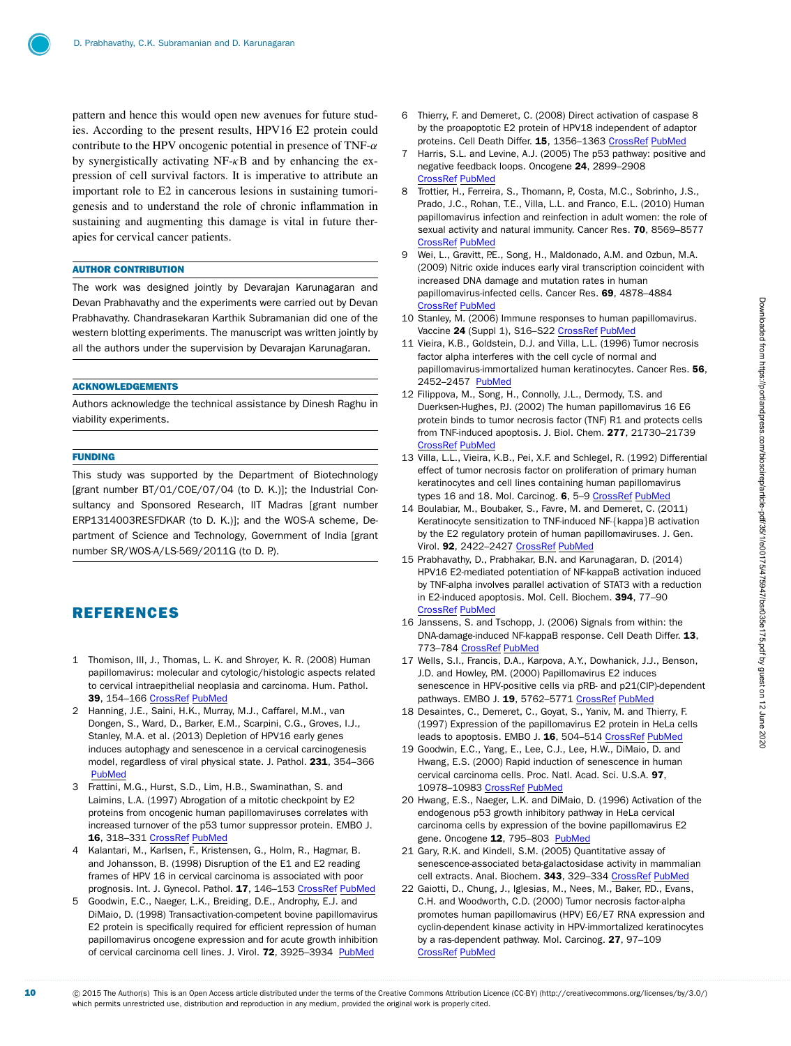pattern and hence this would open new avenues for future studies. According to the present results, HPV16 E2 protein could contribute to the HPV oncogenic potential in presence of TNF- $\alpha$ by synergistically activating  $NF-\kappa B$  and by enhancing the expression of cell survival factors. It is imperative to attribute an important role to E2 in cancerous lesions in sustaining tumorigenesis and to understand the role of chronic inflammation in sustaining and augmenting this damage is vital in future therapies for cervical cancer patients.

#### AUTHOR CONTRIBUTION

The work was designed jointly by Devarajan Karunagaran and Devan Prabhavathy and the experiments were carried out by Devan Prabhavathy. Chandrasekaran Karthik Subramanian did one of the western blotting experiments. The manuscript was written jointly by all the authors under the supervision by Devarajan Karunagaran.

#### ACKNOWLEDGEMENTS

Authors acknowledge the technical assistance by Dinesh Raghu in viability experiments.

## FUNDING

This study was supported by the Department of Biotechnology [grant number BT/01/COE/07/04 (to D. K.)]; the Industrial Consultancy and Sponsored Research, IIT Madras [grant number ERP1314003RESFDKAR (to D. K.)]; and the WOS-A scheme, Department of Science and Technology, Government of India [grant number SR/WOS-A/LS-569/2011G (to D. P.).

## REFERENCES

- <span id="page-9-0"></span>1 Thomison, III, J., Thomas, L. K. and Shroyer, K. R. (2008) Human papillomavirus: molecular and cytologic/histologic aspects related to cervical intraepithelial neoplasia and carcinoma. Hum. Pathol. 39, 154–166 [CrossRef](http://dx.doi.org/10.1016/j.humpath.2007.11.002) [PubMed](http://www.ncbi.nlm.nih.gov/pubmed/18206494)
- <span id="page-9-1"></span>2 Hanning, J.E., Saini, H.K., Murray, M.J., Caffarel, M.M., van Dongen, S., Ward, D., Barker, E.M., Scarpini, C.G., Groves, I.J., Stanley, M.A. et al. (2013) Depletion of HPV16 early genes induces autophagy and senescence in a cervical carcinogenesis model, regardless of viral physical state. J. Pathol. 231, 354-366 [PubMed](http://www.ncbi.nlm.nih.gov/pubmed/23913724)
- <span id="page-9-2"></span>3 Frattini, M.G., Hurst, S.D., Lim, H.B., Swaminathan, S. and Laimins, L.A. (1997) Abrogation of a mitotic checkpoint by E2 proteins from oncogenic human papillomaviruses correlates with increased turnover of the p53 tumor suppressor protein. EMBO J. 16, 318-331 [CrossRef](http://dx.doi.org/10.1093/emboj/16.2.318) [PubMed](http://www.ncbi.nlm.nih.gov/pubmed/9029152)
- <span id="page-9-3"></span>4 Kalantari, M., Karlsen, F., Kristensen, G., Holm, R., Hagmar, B. and Johansson, B. (1998) Disruption of the E1 and E2 reading frames of HPV 16 in cervical carcinoma is associated with poor prognosis. Int. J. Gynecol. Pathol. 17, 146-153 [CrossRef](http://dx.doi.org/10.1097/00004347-199804000-00009) [PubMed](http://www.ncbi.nlm.nih.gov/pubmed/9553812)
- <span id="page-9-4"></span>5 Goodwin, E.C., Naeger, L.K., Breiding, D.E., Androphy, E.J. and DiMaio, D. (1998) Transactivation-competent bovine papillomavirus E2 protein is specifically required for efficient repression of human papillomavirus oncogene expression and for acute growth inhibition of cervical carcinoma cell lines. J. Virol. 72, 3925–3934 [PubMed](http://www.ncbi.nlm.nih.gov/pubmed/9557678)
- <span id="page-9-5"></span>6 Thierry, F. and Demeret, C. (2008) Direct activation of caspase 8 by the proapoptotic E2 protein of HPV18 independent of adaptor proteins. Cell Death Differ. 15, 1356–1363 [CrossRef](http://dx.doi.org/10.1038/cdd.2008.53) [PubMed](http://www.ncbi.nlm.nih.gov/pubmed/18421300)
- <span id="page-9-6"></span>7 Harris, S.L. and Levine, A.J. (2005) The p53 pathway: positive and negative feedback loops. Oncogene 24, 2899–2908 [CrossRef](http://dx.doi.org/10.1038/sj.onc.1208615) [PubMed](http://www.ncbi.nlm.nih.gov/pubmed/15838523)
- <span id="page-9-7"></span>8 Trottier, H., Ferreira, S., Thomann, P., Costa, M.C., Sobrinho, J.S., Prado, J.C., Rohan, T.E., Villa, L.L. and Franco, E.L. (2010) Human papillomavirus infection and reinfection in adult women: the role of sexual activity and natural immunity. Cancer Res. 70, 8569–8577 [CrossRef](http://dx.doi.org/10.1158/0008-5472.CAN-10-0621) [PubMed](http://www.ncbi.nlm.nih.gov/pubmed/20978200)
- <span id="page-9-8"></span>9 Wei, L., Gravitt, P.E., Song, H., Maldonado, A.M. and Ozbun, M.A. (2009) Nitric oxide induces early viral transcription coincident with increased DNA damage and mutation rates in human papillomavirus-infected cells. Cancer Res. 69, 4878–4884 [CrossRef](http://dx.doi.org/10.1158/0008-5472.CAN-08-4695) [PubMed](http://www.ncbi.nlm.nih.gov/pubmed/19487298)
- <span id="page-9-9"></span>10 Stanley, M. (2006) Immune responses to human papillomavirus. Vaccine 24 (Suppl 1), S16-S22 [CrossRef](http://dx.doi.org/10.1016/j.vaccine.2005.09.002) [PubMed](http://www.ncbi.nlm.nih.gov/pubmed/16219398)
- <span id="page-9-10"></span>11 Vieira, K.B., Goldstein, D.J. and Villa, L.L. (1996) Tumor necrosis factor alpha interferes with the cell cycle of normal and papillomavirus-immortalized human keratinocytes. Cancer Res. 56, 2452–2457 [PubMed](http://www.ncbi.nlm.nih.gov/pubmed/8625327)
- <span id="page-9-11"></span>12 Filippova, M., Song, H., Connolly, J.L., Dermody, T.S. and Duerksen-Hughes, P.J. (2002) The human papillomavirus 16 E6 protein binds to tumor necrosis factor (TNF) R1 and protects cells from TNF-induced apoptosis. J. Biol. Chem. 277, 21730–21739 [CrossRef](http://dx.doi.org/10.1074/jbc.M200113200) [PubMed](http://www.ncbi.nlm.nih.gov/pubmed/11934887)
- <span id="page-9-12"></span>13 Villa, L.L., Vieira, K.B., Pei, X.F. and Schlegel, R. (1992) Differential effect of tumor necrosis factor on proliferation of primary human keratinocytes and cell lines containing human papillomavirus types 16 and 18. Mol. Carcinog. 6, 5-9 [CrossRef](http://dx.doi.org/10.1002/mc.2940060103) [PubMed](http://www.ncbi.nlm.nih.gov/pubmed/1323969)
- <span id="page-9-13"></span>14 Boulabiar, M., Boubaker, S., Favre, M. and Demeret, C. (2011) Keratinocyte sensitization to TNF-induced NF-{kappa}B activation by the E2 regulatory protein of human papillomaviruses. J. Gen. Virol. 92, 2422-2427 [CrossRef](http://dx.doi.org/10.1099/vir.0.032466-0) [PubMed](http://www.ncbi.nlm.nih.gov/pubmed/21715600)
- <span id="page-9-14"></span>15 Prabhavathy, D., Prabhakar, B.N. and Karunagaran, D. (2014) HPV16 E2-mediated potentiation of NF-kappaB activation induced by TNF-alpha involves parallel activation of STAT3 with a reduction in E2-induced apoptosis. Mol. Cell. Biochem. 394, 77–90 [CrossRef](http://dx.doi.org/10.1007/s11010-014-2083-6) [PubMed](http://www.ncbi.nlm.nih.gov/pubmed/24833467)
- <span id="page-9-15"></span>16 Janssens, S. and Tschopp, J. (2006) Signals from within: the DNA-damage-induced NF-kappaB response. Cell Death Differ. 13, 773–784 [CrossRef](http://dx.doi.org/10.1038/sj.cdd.4401843) [PubMed](http://www.ncbi.nlm.nih.gov/pubmed/16410802)
- <span id="page-9-16"></span>17 Wells, S.I., Francis, D.A., Karpova, A.Y., Dowhanick, J.J., Benson, J.D. and Howley, P.M. (2000) Papillomavirus E2 induces senescence in HPV-positive cells via pRB- and p21(CIP)-dependent pathways. EMBO J. 19, 5762-5771 [CrossRef](http://dx.doi.org/10.1093/emboj/19.21.5762) [PubMed](http://www.ncbi.nlm.nih.gov/pubmed/11060027)
- 18 Desaintes, C., Demeret, C., Goyat, S., Yaniv, M. and Thierry, F. (1997) Expression of the papillomavirus E2 protein in HeLa cells leads to apoptosis. EMBO J. 16, 504-514 [CrossRef](http://dx.doi.org/10.1093/emboj/16.3.504) [PubMed](http://www.ncbi.nlm.nih.gov/pubmed/9034333)
- <span id="page-9-20"></span>19 Goodwin, E.C., Yang, E., Lee, C.J., Lee, H.W., DiMaio, D. and Hwang, E.S. (2000) Rapid induction of senescence in human cervical carcinoma cells. Proc. Natl. Acad. Sci. U.S.A. 97, 10978–10983 [CrossRef](http://dx.doi.org/10.1073/pnas.97.20.10978) [PubMed](http://www.ncbi.nlm.nih.gov/pubmed/11005870)
- <span id="page-9-17"></span>20 Hwang, E.S., Naeger, L.K. and DiMaio, D. (1996) Activation of the endogenous p53 growth inhibitory pathway in HeLa cervical carcinoma cells by expression of the bovine papillomavirus E2 gene. Oncogene 12, 795-803 [PubMed](http://www.ncbi.nlm.nih.gov/pubmed/8632901)
- <span id="page-9-18"></span>21 Gary, R.K. and Kindell, S.M. (2005) Quantitative assay of senescence-associated beta-galactosidase activity in mammalian cell extracts. Anal. Biochem. 343, 329-334 [CrossRef](http://dx.doi.org/10.1016/j.ab.2005.06.003) [PubMed](http://www.ncbi.nlm.nih.gov/pubmed/16004951)
- <span id="page-9-19"></span>22 Gaiotti, D., Chung, J., Iglesias, M., Nees, M., Baker, P.D., Evans, C.H. and Woodworth, C.D. (2000) Tumor necrosis factor-alpha promotes human papillomavirus (HPV) E6/E7 RNA expression and cyclin-dependent kinase activity in HPV-immortalized keratinocytes by a ras-dependent pathway. Mol. Carcinog. 27, 97–109 [CrossRef](http://dx.doi.org/10.1002/(SICI)1098-2744(200002)27:2
elax protect $
elax <$97::AID-MC5
elax protect $
elax >$3.0.CO;2-V) [PubMed](http://www.ncbi.nlm.nih.gov/pubmed/10657902)

c 2015 The Author(s) This is an Open Access article distributed under the terms of the Creative Commons Attribution Licence (CC-BY) [\(http://creativecommons.org/licenses/by/3.0/\)](http://creativecommons.org/licenses/by/3.0/) which permits unrestricted use, distribution and reproduction in any medium, provided the original work is properly cited.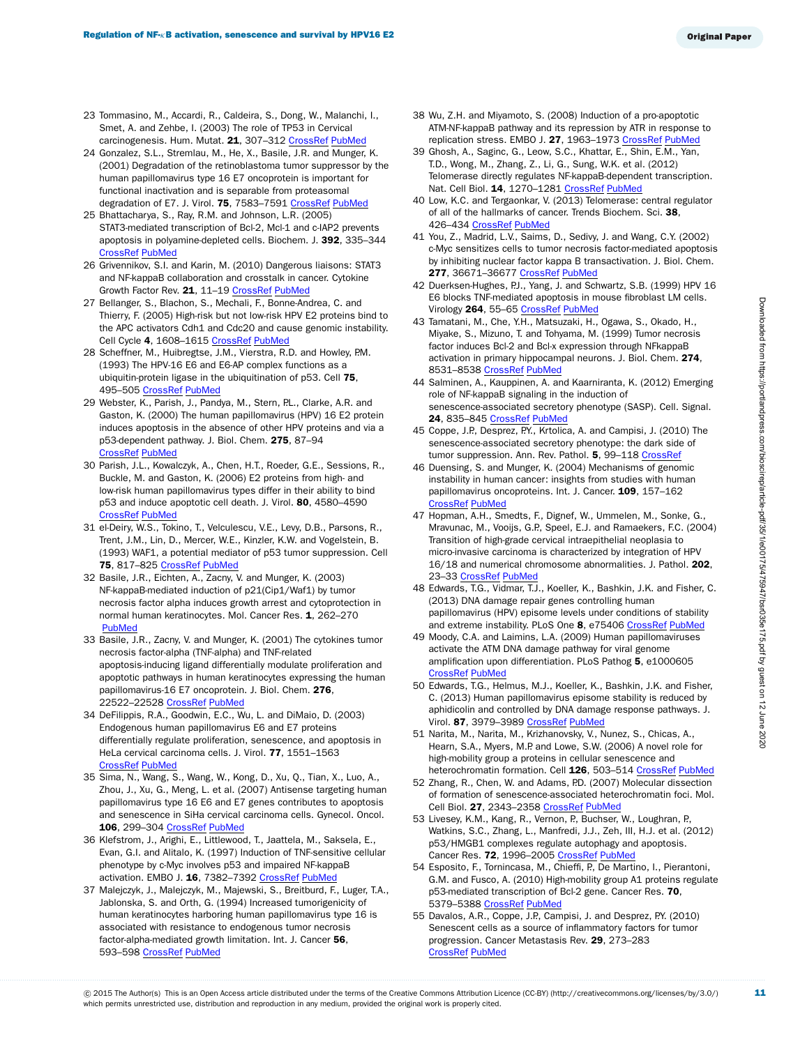- <span id="page-10-0"></span>23 Tommasino, M., Accardi, R., Caldeira, S., Dong, W., Malanchi, I., Smet, A. and Zehbe, I. (2003) The role of TP53 in Cervical carcinogenesis. Hum. Mutat. 21, 307-312 [CrossRef](http://dx.doi.org/10.1002/humu.10178) [PubMed](http://www.ncbi.nlm.nih.gov/pubmed/12619117)
- <span id="page-10-1"></span>24 Gonzalez, S.L., Stremlau, M., He, X., Basile, J.R. and Munger, K. (2001) Degradation of the retinoblastoma tumor suppressor by the human papillomavirus type 16 E7 oncoprotein is important for functional inactivation and is separable from proteasomal degradation of E7. J. Virol. 75, 7583-7591 [CrossRef](http://dx.doi.org/10.1128/JVI.75.16.7583-7591.2001) [PubMed](http://www.ncbi.nlm.nih.gov/pubmed/11462030)
- <span id="page-10-2"></span>25 Bhattacharya, S., Ray, R.M. and Johnson, L.R. (2005) STAT3-mediated transcription of Bcl-2, Mcl-1 and c-IAP2 prevents apoptosis in polyamine-depleted cells. Biochem. J. 392, 335–344 [CrossRef](http://dx.doi.org/10.1042/BJ20050465) [PubMed](http://www.ncbi.nlm.nih.gov/pubmed/16048438)
- <span id="page-10-3"></span>26 Grivennikov, S.I. and Karin, M. (2010) Dangerous liaisons: STAT3 and NF-kappaB collaboration and crosstalk in cancer. Cytokine Growth Factor Rev. 21, 11–19 [CrossRef](http://dx.doi.org/10.1016/j.cytogfr.2009.11.005) [PubMed](http://www.ncbi.nlm.nih.gov/pubmed/20018552)
- <span id="page-10-4"></span>27 Bellanger, S., Blachon, S., Mechali, F., Bonne-Andrea, C. and Thierry, F. (2005) High-risk but not low-risk HPV E2 proteins bind to the APC activators Cdh1 and Cdc20 and cause genomic instability. Cell Cycle 4, 1608–1615 [CrossRef](http://dx.doi.org/10.4161/cc.4.11.2123) [PubMed](http://www.ncbi.nlm.nih.gov/pubmed/16222116)
- <span id="page-10-5"></span>28 Scheffner, M., Huibregtse, J.M., Vierstra, R.D. and Howley, P.M. (1993) The HPV-16 E6 and E6-AP complex functions as a ubiquitin-protein ligase in the ubiquitination of p53. Cell 75, 495–505 [CrossRef](http://dx.doi.org/10.1016/0092-8674(93)90384-3) [PubMed](http://www.ncbi.nlm.nih.gov/pubmed/8221889)
- <span id="page-10-6"></span>29 Webster, K., Parish, J., Pandya, M., Stern, P.L., Clarke, A.R. and Gaston, K. (2000) The human papillomavirus (HPV) 16 E2 protein induces apoptosis in the absence of other HPV proteins and via a p53-dependent pathway. J. Biol. Chem. 275, 87–94 [CrossRef](http://dx.doi.org/10.1074/jbc.275.1.87) [PubMed](http://www.ncbi.nlm.nih.gov/pubmed/10617590)
- <span id="page-10-7"></span>30 Parish, J.L., Kowalczyk, A., Chen, H.T., Roeder, G.E., Sessions, R., Buckle, M. and Gaston, K. (2006) E2 proteins from high- and low-risk human papillomavirus types differ in their ability to bind p53 and induce apoptotic cell death. J. Virol. 80, 4580–4590 [CrossRef](http://dx.doi.org/10.1128/JVI.80.9.4580-4590.2006) [PubMed](http://www.ncbi.nlm.nih.gov/pubmed/16611918)
- <span id="page-10-8"></span>31 el-Deiry, W.S., Tokino, T., Velculescu, V.E., Levy, D.B., Parsons, R., Trent, J.M., Lin, D., Mercer, W.E., Kinzler, K.W. and Vogelstein, B. (1993) WAF1, a potential mediator of p53 tumor suppression. Cell 75, 817–825 [CrossRef](http://dx.doi.org/10.1016/0092-8674(93)90500-P) [PubMed](http://www.ncbi.nlm.nih.gov/pubmed/8242752)
- <span id="page-10-9"></span>32 Basile, J.R., Eichten, A., Zacny, V. and Munger, K. (2003) NF-kappaB-mediated induction of p21(Cip1/Waf1) by tumor necrosis factor alpha induces growth arrest and cytoprotection in normal human keratinocytes. Mol. Cancer Res. 1, 262-270 **[PubMed](http://www.ncbi.nlm.nih.gov/pubmed/12612054)**
- <span id="page-10-10"></span>33 Basile, J.R., Zacny, V. and Munger, K. (2001) The cytokines tumor necrosis factor-alpha (TNF-alpha) and TNF-related apoptosis-inducing ligand differentially modulate proliferation and apoptotic pathways in human keratinocytes expressing the human papillomavirus-16 E7 oncoprotein. J. Biol. Chem. 276, 22522-22528 [CrossRef](http://dx.doi.org/10.1074/jbc.M010505200) [PubMed](http://www.ncbi.nlm.nih.gov/pubmed/11306566)
- <span id="page-10-11"></span>34 DeFilippis, R.A., Goodwin, E.C., Wu, L. and DiMaio, D. (2003) Endogenous human papillomavirus E6 and E7 proteins differentially regulate proliferation, senescence, and apoptosis in HeLa cervical carcinoma cells. J. Virol. 77, 1551–1563 [CrossRef](http://dx.doi.org/10.1128/JVI.77.2.1551-1563.2003) [PubMed](http://www.ncbi.nlm.nih.gov/pubmed/12502868)
- <span id="page-10-12"></span>35 Sima, N., Wang, S., Wang, W., Kong, D., Xu, Q., Tian, X., Luo, A., Zhou, J., Xu, G., Meng, L. et al. (2007) Antisense targeting human papillomavirus type 16 E6 and E7 genes contributes to apoptosis and senescence in SiHa cervical carcinoma cells. Gynecol. Oncol. 106, 299–304 [CrossRef](http://dx.doi.org/10.1016/j.ygyno.2007.04.039) [PubMed](http://www.ncbi.nlm.nih.gov/pubmed/17586029)
- <span id="page-10-13"></span>36 Klefstrom, J., Arighi, E., Littlewood, T., Jaattela, M., Saksela, E., Evan, G.I. and Alitalo, K. (1997) Induction of TNF-sensitive cellular phenotype by c-Myc involves p53 and impaired NF-kappaB activation. EMBO J. 16, 7382-7392 [CrossRef](http://dx.doi.org/10.1093/emboj/16.24.7382) [PubMed](http://www.ncbi.nlm.nih.gov/pubmed/9405367)
- <span id="page-10-14"></span>37 Malejczyk, J., Malejczyk, M., Majewski, S., Breitburd, F., Luger, T.A., Jablonska, S. and Orth, G. (1994) Increased tumorigenicity of human keratinocytes harboring human papillomavirus type 16 is associated with resistance to endogenous tumor necrosis factor-alpha-mediated growth limitation. Int. J. Cancer 56, 593–598 [CrossRef](http://dx.doi.org/10.1002/ijc.2910560421) [PubMed](http://www.ncbi.nlm.nih.gov/pubmed/8112896)
- <span id="page-10-15"></span>38 Wu, Z.H. and Miyamoto, S. (2008) Induction of a pro-apoptotic ATM-NF-kappaB pathway and its repression by ATR in response to replication stress. EMBO J. 27, 1963–1973 [CrossRef](http://dx.doi.org/10.1038/emboj.2008.127) [PubMed](http://www.ncbi.nlm.nih.gov/pubmed/18583959)
- <span id="page-10-16"></span>39 Ghosh, A., Saginc, G., Leow, S.C., Khattar, E., Shin, E.M., Yan, T.D., Wong, M., Zhang, Z., Li, G., Sung, W.K. et al. (2012) Telomerase directly regulates NF-kappaB-dependent transcription. Nat. Cell Biol. 14, 1270-1281 [CrossRef](http://dx.doi.org/10.1038/ncb2621) [PubMed](http://www.ncbi.nlm.nih.gov/pubmed/23159929)
- <span id="page-10-17"></span>40 Low, K.C. and Tergaonkar, V. (2013) Telomerase: central regulator of all of the hallmarks of cancer. Trends Biochem. Sci. 38, 426-434 [CrossRef](http://dx.doi.org/10.1016/j.tibs.2013.07.001) [PubMed](http://www.ncbi.nlm.nih.gov/pubmed/23932019)
- <span id="page-10-18"></span>41 You, Z., Madrid, L.V., Saims, D., Sedivy, J. and Wang, C.Y. (2002) c-Myc sensitizes cells to tumor necrosis factor-mediated apoptosis by inhibiting nuclear factor kappa B transactivation. J. Biol. Chem. 277, 36671-36677 [CrossRef](http://dx.doi.org/10.1074/jbc.M203213200) [PubMed](http://www.ncbi.nlm.nih.gov/pubmed/12149248)
- <span id="page-10-19"></span>42 Duerksen-Hughes, P.J., Yang, J. and Schwartz, S.B. (1999) HPV 16 E6 blocks TNF-mediated apoptosis in mouse fibroblast LM cells. Virology 264, 55-65 [CrossRef](http://dx.doi.org/10.1006/viro.1999.9977) [PubMed](http://www.ncbi.nlm.nih.gov/pubmed/10544129)
- <span id="page-10-20"></span>43 Tamatani, M., Che, Y.H., Matsuzaki, H., Ogawa, S., Okado, H., Miyake, S., Mizuno, T. and Tohyama, M. (1999) Tumor necrosis factor induces Bcl-2 and Bcl-x expression through NFkappaB activation in primary hippocampal neurons. J. Biol. Chem. 274, 8531-8538 [CrossRef](http://dx.doi.org/10.1074/jbc.274.13.8531) [PubMed](http://www.ncbi.nlm.nih.gov/pubmed/10085086)
- <span id="page-10-21"></span>44 Salminen, A., Kauppinen, A. and Kaarniranta, K. (2012) Emerging role of NF-kappaB signaling in the induction of senescence-associated secretory phenotype (SASP). Cell. Signal. 24, 835–845 [CrossRef](http://dx.doi.org/10.1016/j.cellsig.2011.12.006) [PubMed](http://www.ncbi.nlm.nih.gov/pubmed/22182507)
- <span id="page-10-22"></span>45 Coppe, J.P., Desprez, P.Y., Krtolica, A. and Campisi, J. (2010) The senescence-associated secretory phenotype: the dark side of tumor suppression. Ann. Rev. Pathol. 5, 99-118 [CrossRef](http://dx.doi.org/10.1146/annurev-pathol-121808-102144)
- <span id="page-10-23"></span>46 Duensing, S. and Munger, K. (2004) Mechanisms of genomic instability in human cancer: insights from studies with human papillomavirus oncoproteins. Int. J. Cancer. 109, 157-162 [CrossRef](http://dx.doi.org/10.1002/ijc.11691) [PubMed](http://www.ncbi.nlm.nih.gov/pubmed/14750163)
- <span id="page-10-24"></span>47 Hopman, A.H., Smedts, F., Dignef, W., Ummelen, M., Sonke, G., Mravunac, M., Vooijs, G.P., Speel, E.J. and Ramaekers, F.C. (2004) Transition of high-grade cervical intraepithelial neoplasia to micro-invasive carcinoma is characterized by integration of HPV 16/18 and numerical chromosome abnormalities. J. Pathol. 202, 23–33 [CrossRef](http://dx.doi.org/10.1002/path.1490) [PubMed](http://www.ncbi.nlm.nih.gov/pubmed/14694518)
- <span id="page-10-25"></span>48 Edwards, T.G., Vidmar, T.J., Koeller, K., Bashkin, J.K. and Fisher, C. (2013) DNA damage repair genes controlling human papillomavirus (HPV) episome levels under conditions of stability and extreme instability. PLoS One 8, e75406 [CrossRef](http://dx.doi.org/10.1371/journal.pone.0075406) [PubMed](http://www.ncbi.nlm.nih.gov/pubmed/24098381)
- 49 Moody, C.A. and Laimins, L.A. (2009) Human papillomaviruses activate the ATM DNA damage pathway for viral genome amplification upon differentiation. PLoS Pathog 5, e1000605 [CrossRef](http://dx.doi.org/10.1371/journal.ppat.1000605) [PubMed](http://www.ncbi.nlm.nih.gov/pubmed/19798429)
- <span id="page-10-26"></span>50 Edwards, T.G., Helmus, M.J., Koeller, K., Bashkin, J.K. and Fisher, C. (2013) Human papillomavirus episome stability is reduced by aphidicolin and controlled by DNA damage response pathways. J. Virol. 87, 3979-3989 [CrossRef](http://dx.doi.org/10.1128/JVI.03473-12) [PubMed](http://www.ncbi.nlm.nih.gov/pubmed/23365423)
- <span id="page-10-27"></span>51 Narita, M., Narita, M., Krizhanovsky, V., Nunez, S., Chicas, A., Hearn, S.A., Myers, M.P. and Lowe, S.W. (2006) A novel role for high-mobility group a proteins in cellular senescence and heterochromatin formation. Cell 126, 503–514 [CrossRef](http://dx.doi.org/10.1016/j.cell.2006.05.052) [PubMed](http://www.ncbi.nlm.nih.gov/pubmed/16901784)
- <span id="page-10-28"></span>52 Zhang, R., Chen, W. and Adams, P.D. (2007) Molecular dissection of formation of senescence-associated heterochromatin foci. Mol. Cell Biol. 27, 2343-2358 [CrossRef](http://dx.doi.org/10.1128/MCB.02019-06) [PubMed](http://www.ncbi.nlm.nih.gov/pubmed/17242207)
- <span id="page-10-29"></span>53 Livesey, K.M., Kang, R., Vernon, P., Buchser, W., Loughran, P., Watkins, S.C., Zhang, L., Manfredi, J.J., Zeh, III, H.J. et al. (2012) p53/HMGB1 complexes regulate autophagy and apoptosis. Cancer Res. 72, 1996–2005 [CrossRef](http://dx.doi.org/10.1158/0008-5472.CAN-11-2291) [PubMed](http://www.ncbi.nlm.nih.gov/pubmed/22345153)
- <span id="page-10-30"></span>54 Esposito, F., Tornincasa, M., Chieffi, P., De Martino, I., Pierantoni, G.M. and Fusco, A. (2010) High-mobility group A1 proteins regulate p53-mediated transcription of Bcl-2 gene. Cancer Res. 70, 5379-5388 [CrossRef](http://dx.doi.org/10.1158/0008-5472.CAN-09-4199) [PubMed](http://www.ncbi.nlm.nih.gov/pubmed/20530667)
- <span id="page-10-31"></span>55 Davalos, A.R., Coppe, J.P., Campisi, J. and Desprez, P.Y. (2010) Senescent cells as a source of inflammatory factors for tumor progression. Cancer Metastasis Rev. 29, 273–283 [CrossRef](http://dx.doi.org/10.1007/s10555-010-9220-9) [PubMed](http://www.ncbi.nlm.nih.gov/pubmed/20390322)